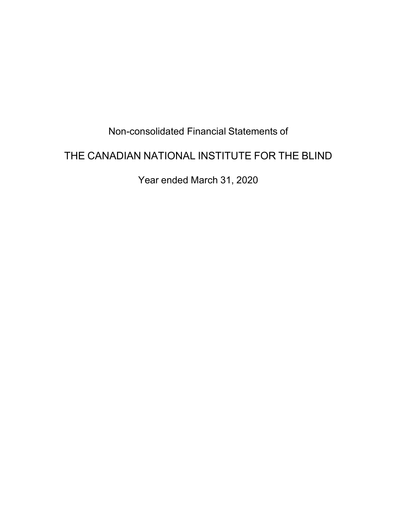# Non-consolidated Financial Statements of

# THE CANADIAN NATIONAL INSTITUTE FOR THE BLIND

Year ended March 31, 2020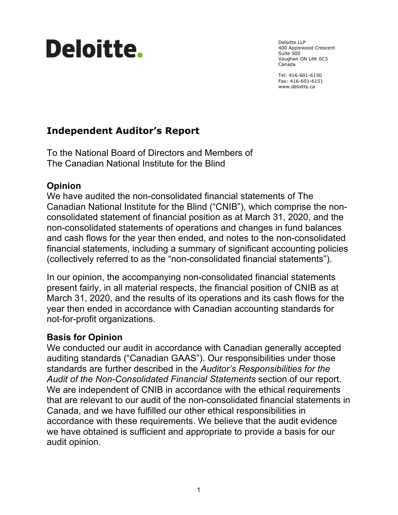# **Deloitte.**

Deloitte LLP 400 Applewood Crescent Suite 500 Vaughan ON L4K 0C3 Canada

Tel: 416-601-6150 Fax: 416-601-6151 [www.deloitte.ca](http://www.deloitte.ca) 

# **Independent Auditor's Report**

To the National Board of Directors and Members of The Canadian National Institute for the Blind

# **Opinion**

We have audited the non-consolidated financial statements of The Canadian National Institute for the Blind ("CNIB"), which comprise the nonconsolidated statement of financial position as at March 31, 2020, and the non-consolidated statements of operations and changes in fund balances and cash flows for the year then ended, and notes to the non-consolidated financial statements, including a summary of significant accounting policies (collectively referred to as the "non-consolidated financial statements").

In our opinion, the accompanying non-consolidated financial statements present fairly, in all material respects, the financial position of CNIB as at March 31, 2020, and the results of its operations and its cash flows for the year then ended in accordance with Canadian accounting standards for not-for-profit organizations.

# **Basis for Opinion**

We conducted our audit in accordance with Canadian generally accepted auditing standards ("Canadian GAAS"). Our responsibilities under those standards are further described in the *Auditor's Responsibilities for the Audit of the Non-Consolidated Financial Statements* section of our report. We are independent of CNIB in accordance with the ethical requirements that are relevant to our audit of the non-consolidated financial statements in Canada, and we have fulfilled our other ethical responsibilities in accordance with these requirements. We believe that the audit evidence we have obtained is sufficient and appropriate to provide a basis for our audit opinion.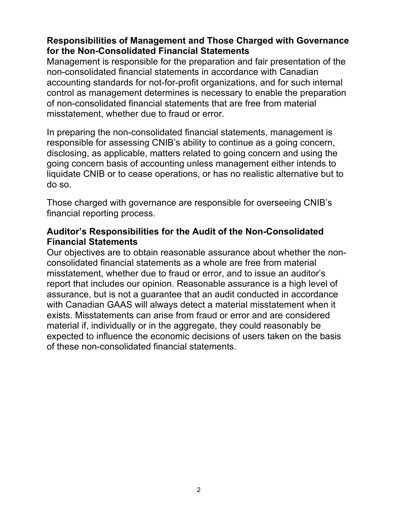## **Responsibilities of Management and Those Charged with Governance for the Non-Consolidated Financial Statements**

Management is responsible for the preparation and fair presentation of the non-consolidated financial statements in accordance with Canadian accounting standards for not-for-profit organizations, and for such internal control as management determines is necessary to enable the preparation of non-consolidated financial statements that are free from material misstatement, whether due to fraud or error.

In preparing the non-consolidated financial statements, management is responsible for assessing CNIB's ability to continue as a going concern, disclosing, as applicable, matters related to going concern and using the going concern basis of accounting unless management either intends to liquidate CNIB or to cease operations, or has no realistic alternative but to do so.

Those charged with governance are responsible for overseeing CNIB's financial reporting process.

## **Auditor's Responsibilities for the Audit of the Non-Consolidated Financial Statements**

Our objectives are to obtain reasonable assurance about whether the nonconsolidated financial statements as a whole are free from material misstatement, whether due to fraud or error, and to issue an auditor's report that includes our opinion. Reasonable assurance is a high level of assurance, but is not a guarantee that an audit conducted in accordance with Canadian GAAS will always detect a material misstatement when it exists. Misstatements can arise from fraud or error and are considered material if, individually or in the aggregate, they could reasonably be expected to influence the economic decisions of users taken on the basis of these non-consolidated financial statements.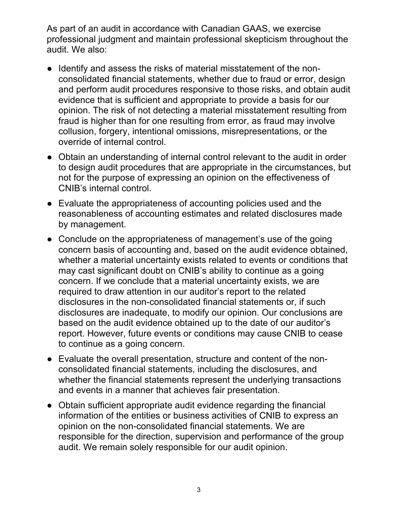As part of an audit in accordance with Canadian GAAS, we exercise professional judgment and maintain professional skepticism throughout the audit. We also:

- Identify and assess the risks of material misstatement of the nonconsolidated financial statements, whether due to fraud or error, design and perform audit procedures responsive to those risks, and obtain audit evidence that is sufficient and appropriate to provide a basis for our opinion. The risk of not detecting a material misstatement resulting from fraud is higher than for one resulting from error, as fraud may involve collusion, forgery, intentional omissions, misrepresentations, or the override of internal control.
- Obtain an understanding of internal control relevant to the audit in order to design audit procedures that are appropriate in the circumstances, but not for the purpose of expressing an opinion on the effectiveness of CNIB's internal control.
- Evaluate the appropriateness of accounting policies used and the reasonableness of accounting estimates and related disclosures made by management.
- Conclude on the appropriateness of management's use of the going concern basis of accounting and, based on the audit evidence obtained, whether a material uncertainty exists related to events or conditions that may cast significant doubt on CNIB's ability to continue as a going concern. If we conclude that a material uncertainty exists, we are required to draw attention in our auditor's report to the related disclosures in the non-consolidated financial statements or, if such disclosures are inadequate, to modify our opinion. Our conclusions are based on the audit evidence obtained up to the date of our auditor's report. However, future events or conditions may cause CNIB to cease to continue as a going concern.
- Evaluate the overall presentation, structure and content of the nonconsolidated financial statements, including the disclosures, and whether the financial statements represent the underlying transactions and events in a manner that achieves fair presentation.
- Obtain sufficient appropriate audit evidence regarding the financial information of the entities or business activities of CNIB to express an opinion on the non-consolidated financial statements. We are responsible for the direction, supervision and performance of the group audit. We remain solely responsible for our audit opinion.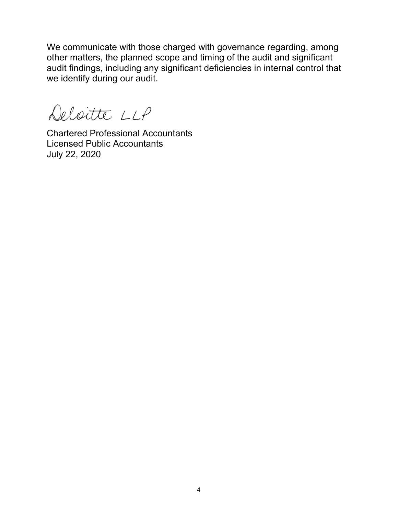We communicate with those charged with governance regarding, among other matters, the planned scope and timing of the audit and significant audit findings, including any significant deficiencies in internal control that we identify during our audit.

Deloitte LLP

Chartered Professional Accountants Licensed Public Accountants July 22, 2020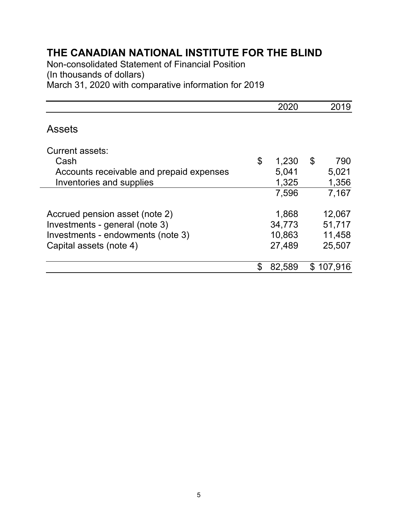Non-consolidated Statement of Financial Position (In thousands of dollars)

March 31, 2020 with comparative information for 2019

|                                          | 2020         | 2019      |
|------------------------------------------|--------------|-----------|
| <b>Assets</b>                            |              |           |
| Current assets:                          |              |           |
| Cash                                     | \$<br>1,230  | \$<br>790 |
| Accounts receivable and prepaid expenses | 5,041        | 5,021     |
| Inventories and supplies                 | 1,325        | 1,356     |
|                                          | 7,596        | 7,167     |
| Accrued pension asset (note 2)           | 1,868        | 12,067    |
| Investments - general (note 3)           | 34,773       | 51,717    |
| Investments - endowments (note 3)        | 10,863       | 11,458    |
| Capital assets (note 4)                  | 27,489       | 25,507    |
|                                          | \$<br>82,589 | \$107,916 |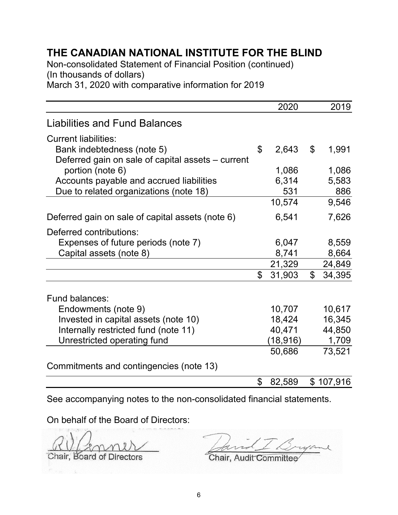Non-consolidated Statement of Financial Position (continued) (In thousands of dollars)

March 31, 2020 with comparative information for 2019

|                                                   | 2020         |             | 2019      |
|---------------------------------------------------|--------------|-------------|-----------|
| <b>Liabilities and Fund Balances</b>              |              |             |           |
| <b>Current liabilities:</b>                       |              |             |           |
| Bank indebtedness (note 5)                        | \$<br>2,643  | \$          | 1,991     |
| Deferred gain on sale of capital assets – current |              |             |           |
| portion (note 6)                                  | 1,086        |             | 1,086     |
| Accounts payable and accrued liabilities          | 6,314        |             | 5,583     |
| Due to related organizations (note 18)            | 531          |             | 886       |
|                                                   | 10,574       |             | 9,546     |
| Deferred gain on sale of capital assets (note 6)  | 6,541        |             | 7,626     |
| Deferred contributions:                           |              |             |           |
| Expenses of future periods (note 7)               | 6,047        |             | 8,559     |
| Capital assets (note 8)                           | 8,741        |             | 8,664     |
|                                                   | 21,329       |             | 24,849    |
|                                                   | \$<br>31,903 | $\mathbb S$ | 34,395    |
| Fund balances:                                    |              |             |           |
| Endowments (note 9)                               | 10,707       |             | 10,617    |
| Invested in capital assets (note 10)              | 18,424       |             | 16,345    |
| Internally restricted fund (note 11)              | 40,471       |             | 44,850    |
| Unrestricted operating fund                       | (18, 916)    |             | 1,709     |
|                                                   | 50,686       |             | 73,521    |
| Commitments and contingencies (note 13)           |              |             |           |
|                                                   | \$<br>82,589 |             | \$107,916 |

See accompanying notes to the non-consolidated financial statements.

On behalf of the Board of Directors:

Chair, Board of Directors **Chair, Audit Committee** 

 $\overline{\mathcal{A}}$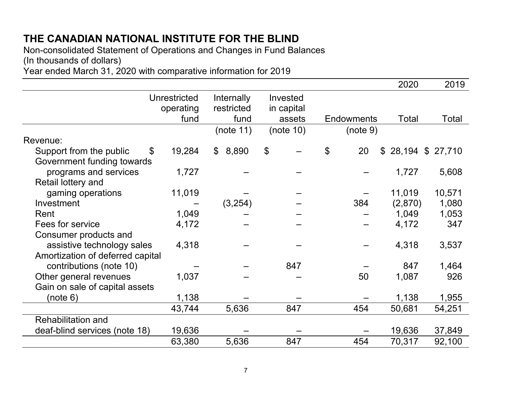Non-consolidated Statement of Operations and Changes in Fund Balances (In thousands of dollars)

Year ended March 31, 2020 with comparative information for 2019

|                                                             |                                  |                          |                            |                   | 2020                | 2019         |
|-------------------------------------------------------------|----------------------------------|--------------------------|----------------------------|-------------------|---------------------|--------------|
|                                                             | <b>Unrestricted</b><br>operating | Internally<br>restricted | Invested<br>in capital     |                   |                     |              |
|                                                             | fund                             | fund                     | assets                     | <b>Endowments</b> | Total               | <b>Total</b> |
|                                                             |                                  | (note 11)                | (note 10)                  | (note 9)          |                     |              |
| Revenue:                                                    |                                  |                          |                            |                   |                     |              |
| Support from the public<br>\$<br>Government funding towards | 19,284                           | 8,890<br>$\mathbb{S}$    | $\boldsymbol{\mathsf{\$}}$ | \$<br>20          | $$28,194$ \$ 27,710 |              |
| programs and services<br>Retail lottery and                 | 1,727                            |                          |                            |                   | 1,727               | 5,608        |
| gaming operations                                           | 11,019                           |                          |                            |                   | 11,019              | 10,571       |
| Investment                                                  |                                  | (3,254)                  |                            | 384               | (2,870)             | 1,080        |
| Rent                                                        | 1,049                            |                          |                            |                   | 1,049               | 1,053        |
| Fees for service                                            | 4,172                            |                          |                            |                   | 4,172               | 347          |
| Consumer products and                                       |                                  |                          |                            |                   |                     |              |
| assistive technology sales                                  | 4,318                            |                          |                            |                   | 4,318               | 3,537        |
| Amortization of deferred capital                            |                                  |                          |                            |                   |                     |              |
| contributions (note 10)                                     |                                  |                          | 847                        |                   | 847                 | 1,464        |
| Other general revenues                                      | 1,037                            |                          |                            | 50                | 1,087               | 926          |
| Gain on sale of capital assets                              |                                  |                          |                            |                   |                     |              |
| (note 6)                                                    | 1,138                            |                          |                            |                   | 1,138               | 1,955        |
|                                                             | 43,744                           | 5,636                    | 847                        | 454               | 50,681              | 54,251       |
| <b>Rehabilitation and</b>                                   |                                  |                          |                            |                   |                     |              |
| deaf-blind services (note 18)                               | 19,636                           |                          |                            |                   | 19,636              | 37,849       |
|                                                             | 63,380                           | 5,636                    | 847                        | 454               | 70,317              | 92,100       |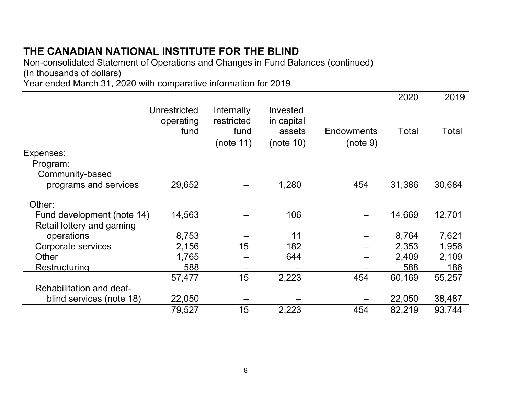Non-consolidated Statement of Operations and Changes in Fund Balances (continued) (In thousands of dollars) Year ended March 31, 2020 with comparative information for 2019

|                            |              |            |            |                   | 2020   | 2019   |
|----------------------------|--------------|------------|------------|-------------------|--------|--------|
|                            | Unrestricted | Internally | Invested   |                   |        |        |
|                            | operating    | restricted | in capital |                   |        |        |
|                            | fund         | fund       | assets     | <b>Endowments</b> | Total  | Total  |
|                            |              | (note 11)  | (note 10)  | (note 9)          |        |        |
| Expenses:                  |              |            |            |                   |        |        |
| Program:                   |              |            |            |                   |        |        |
| Community-based            |              |            |            |                   |        |        |
| programs and services      | 29,652       |            | 1,280      | 454               | 31,386 | 30,684 |
| Other:                     |              |            |            |                   |        |        |
| Fund development (note 14) | 14,563       |            | 106        |                   | 14,669 | 12,701 |
| Retail lottery and gaming  |              |            |            |                   |        |        |
| operations                 | 8,753        |            | 11         |                   | 8,764  | 7,621  |
| Corporate services         | 2,156        | 15         | 182        |                   | 2,353  | 1,956  |
| Other                      | 1,765        |            | 644        |                   | 2,409  | 2,109  |
| Restructuring              | 588          |            |            |                   | 588    | 186    |
|                            | 57,477       | 15         | 2,223      | 454               | 60,169 | 55,257 |
| Rehabilitation and deaf-   |              |            |            |                   |        |        |
| blind services (note 18)   | 22,050       |            |            |                   | 22,050 | 38,487 |
|                            | 79,527       | 15         | 2,223      | 454               | 82,219 | 93,744 |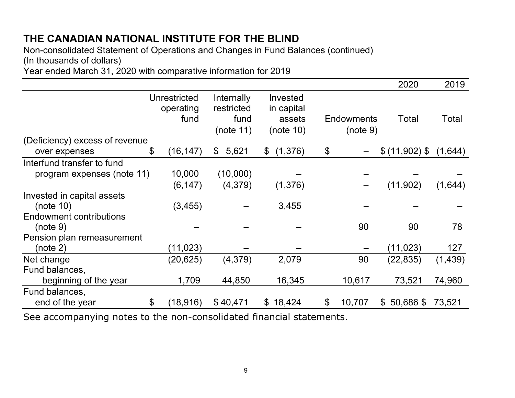Non-consolidated Statement of Operations and Changes in Fund Balances (continued) (In thousands of dollars)

Year ended March 31, 2020 with comparative information for 2019

|                                                                      |                |              |             |                          |                |                   | 2020                        | 2019     |
|----------------------------------------------------------------------|----------------|--------------|-------------|--------------------------|----------------|-------------------|-----------------------------|----------|
|                                                                      |                | Unrestricted | Internally  | Invested                 |                |                   |                             |          |
|                                                                      |                | operating    | restricted  | in capital               |                |                   |                             |          |
|                                                                      |                | fund         | fund        | assets                   |                | <b>Endowments</b> | Total                       | Total    |
|                                                                      |                |              | (note 11)   | (note 10)                |                | (note 9)          |                             |          |
| (Deficiency) excess of revenue                                       |                |              |             |                          |                |                   |                             |          |
| over expenses                                                        | \$             | (16, 147)    | 5,621<br>\$ | (1,376)<br>$\mathcal{L}$ | \$             |                   | $$(11,902)$ \$              | (1,644)  |
| Interfund transfer to fund                                           |                |              |             |                          |                |                   |                             |          |
| program expenses (note 11)                                           |                | 10,000       | (10,000)    |                          |                |                   |                             |          |
|                                                                      |                | (6, 147)     | (4,379)     | (1,376)                  |                |                   | (11,902)                    | (1,644)  |
| Invested in capital assets                                           |                |              |             |                          |                |                   |                             |          |
| (note $10$ )                                                         |                | (3, 455)     |             | 3,455                    |                |                   |                             |          |
| <b>Endowment contributions</b>                                       |                |              |             |                          |                |                   |                             |          |
| (note 9)                                                             |                |              |             |                          |                | 90                | 90                          | 78       |
| Pension plan remeasurement                                           |                |              |             |                          |                |                   |                             |          |
| (note 2)                                                             |                | (11, 023)    |             |                          |                |                   | (11, 023)                   | 127      |
| Net change                                                           |                | (20,625)     | (4,379)     | 2,079                    |                | 90                | (22, 835)                   | (1, 439) |
| Fund balances,                                                       |                |              |             |                          |                |                   |                             |          |
| beginning of the year                                                |                | 1,709        | 44,850      | 16,345                   |                | 10,617            | 73,521                      | 74,960   |
| Fund balances,                                                       |                |              |             |                          |                |                   |                             |          |
| end of the year                                                      | $\mathfrak{L}$ | (18,916)     | \$40,471    | \$18,424                 | $\mathfrak{L}$ | 10,707            | $50,686$ \$<br>$\mathbb{S}$ | 73,521   |
| Cee seconomenting natus to the new concelldated financial statements |                |              |             |                          |                |                   |                             |          |

See accompanying notes to the non-consolidated financial statements.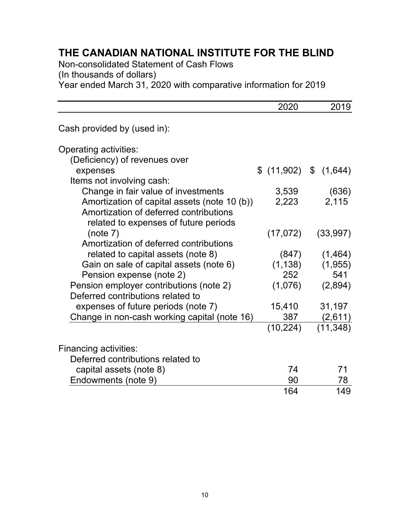Non-consolidated Statement of Cash Flows

(In thousands of dollars)

Year ended March 31, 2020 with comparative information for 2019

|                                              | 2020      | 2019                 |
|----------------------------------------------|-----------|----------------------|
| Cash provided by (used in):                  |           |                      |
| Operating activities:                        |           |                      |
| (Deficiency) of revenues over                |           |                      |
| expenses                                     |           | \$(11,902) \$(1,644) |
| Items not involving cash:                    |           |                      |
| Change in fair value of investments          | 3,539     | (636)                |
| Amortization of capital assets (note 10 (b)) | 2,223     | 2,115                |
| Amortization of deferred contributions       |           |                      |
| related to expenses of future periods        |           |                      |
| (note 7)                                     | (17,072)  | (33, 997)            |
| Amortization of deferred contributions       |           |                      |
| related to capital assets (note 8)           | (847)     | (1,464)              |
| Gain on sale of capital assets (note 6)      | (1, 138)  | (1,955)              |
| Pension expense (note 2)                     | 252       | 541                  |
| Pension employer contributions (note 2)      | (1,076)   | (2,894)              |
| Deferred contributions related to            |           |                      |
| expenses of future periods (note 7)          | 15,410    | 31,197               |
| Change in non-cash working capital (note 16) | 387       | (2,611)              |
|                                              | (10, 224) | (11, 348)            |
| <b>Financing activities:</b>                 |           |                      |
| Deferred contributions related to            |           |                      |
| capital assets (note 8)                      | 74        | 71                   |
| Endowments (note 9)                          | 90        | 78                   |
|                                              | 164       | 149                  |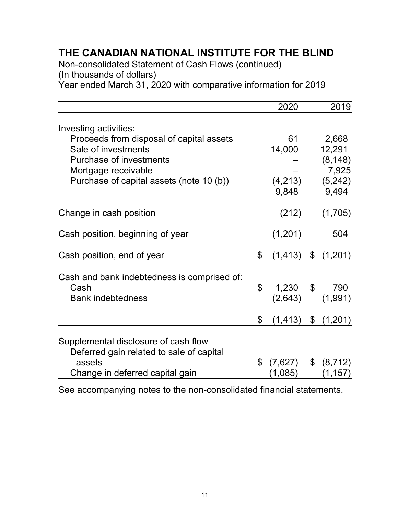Non-consolidated Statement of Cash Flows (continued)

(In thousands of dollars)

Year ended March 31, 2020 with comparative information for 2019

|                                                                                  | 2020           |               | 2019         |
|----------------------------------------------------------------------------------|----------------|---------------|--------------|
|                                                                                  |                |               |              |
| Investing activities:                                                            |                |               |              |
| Proceeds from disposal of capital assets                                         | 61             |               | 2,668        |
| Sale of investments                                                              | 14,000         |               | 12,291       |
| <b>Purchase of investments</b>                                                   |                |               | (8, 148)     |
| Mortgage receivable                                                              |                |               | 7,925        |
| Purchase of capital assets (note 10 (b))                                         | (4, 213)       |               | (5,242)      |
|                                                                                  | 9,848          |               | 9,494        |
| Change in cash position                                                          | (212)          |               | (1,705)      |
| Cash position, beginning of year                                                 | (1,201)        |               | 504          |
| Cash position, end of year                                                       | \$<br>(1, 413) |               | \$(1,201)    |
| Cash and bank indebtedness is comprised of:                                      |                |               |              |
| Cash                                                                             | \$             |               | 1,230 \$ 790 |
| <b>Bank indebtedness</b>                                                         | (2,643)        |               | (1,991)      |
|                                                                                  |                |               |              |
|                                                                                  | \$<br>(1, 413) | $\frac{1}{2}$ | (1,201)      |
| Supplemental disclosure of cash flow<br>Deferred gain related to sale of capital |                |               |              |
| assets                                                                           | \$<br>(7,627)  |               | \$ (8,712)   |
| Change in deferred capital gain                                                  | (1,085)        |               | (1, 157)     |

See accompanying notes to the non-consolidated financial statements.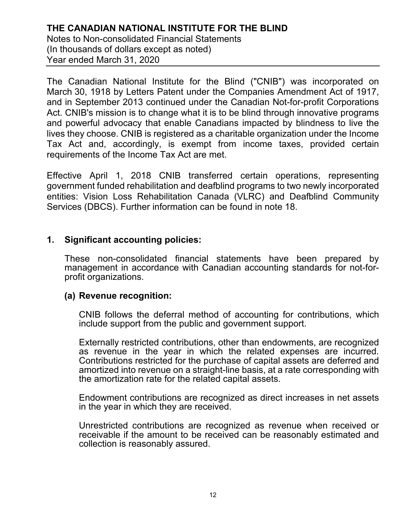Notes to Non-consolidated Financial Statements (In thousands of dollars except as noted) Year ended March 31, 2020

The Canadian National Institute for the Blind ("CNIB") was incorporated on March 30, 1918 by Letters Patent under the Companies Amendment Act of 1917, and in September 2013 continued under the Canadian Not-for-profit Corporations Act. CNIB's mission is to change what it is to be blind through innovative programs and powerful advocacy that enable Canadians impacted by blindness to live the lives they choose. CNIB is registered as a charitable organization under the Income Tax Act and, accordingly, is exempt from income taxes, provided certain requirements of the Income Tax Act are met.

Effective April 1, 2018 CNIB transferred certain operations, representing government funded rehabilitation and deafblind programs to two newly incorporated entities: Vision Loss Rehabilitation Canada (VLRC) and Deafblind Community Services (DBCS). Further information can be found in note 18.

#### **1. Significant accounting policies:**

These non-consolidated financial statements have been prepared by management in accordance with Canadian accounting standards for not-forprofit organizations.

# **(a) Revenue recognition:**

CNIB follows the deferral method of accounting for contributions, which include support from the public and government support.

Externally restricted contributions, other than endowments, are recognized as revenue in the year in which the related expenses are incurred. Contributions restricted for the purchase of capital assets are deferred and amortized into revenue on a straight-line basis, at a rate corresponding with the amortization rate for the related capital assets.

Endowment contributions are recognized as direct increases in net assets in the year in which they are received.

Unrestricted contributions are recognized as revenue when received or receivable if the amount to be received can be reasonably estimated and collection is reasonably assured.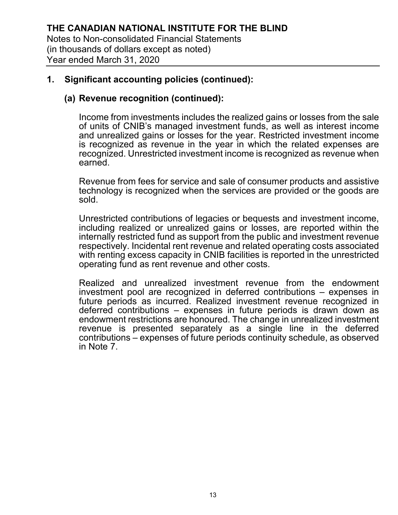#### **(a) Revenue recognition (continued):**

Income from investments includes the realized gains or losses from the sale of units of CNIB's managed investment funds, as well as interest income and unrealized gains or losses for the year. Restricted investment income is recognized as revenue in the year in which the related expenses are recognized. Unrestricted investment income is recognized as revenue when earned.

Revenue from fees for service and sale of consumer products and assistive technology is recognized when the services are provided or the goods are sold.

Unrestricted contributions of legacies or bequests and investment income, including realized or unrealized gains or losses, are reported within the internally restricted fund as support from the public and investment revenue respectively. Incidental rent revenue and related operating costs associated with renting excess capacity in CNIB facilities is reported in the unrestricted operating fund as rent revenue and other costs.

Realized and unrealized investment revenue from the endowment investment pool are recognized in deferred contributions – expenses in future periods as incurred. Realized investment revenue recognized in deferred contributions – expenses in future periods is drawn down as endowment restrictions are honoured. The change in unrealized investment revenue is presented separately as a single line in the deferred contributions – expenses of future periods continuity schedule, as observed in Note 7.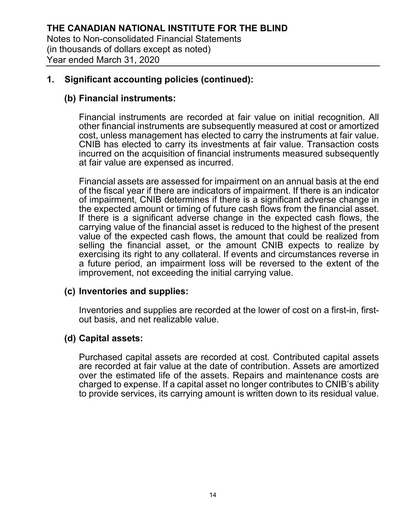#### **(b) Financial instruments:**

Financial instruments are recorded at fair value on initial recognition. All other financial instruments are subsequently measured at cost or amortized cost, unless management has elected to carry the instruments at fair value. CNIB has elected to carry its investments at fair value. Transaction costs incurred on the acquisition of financial instruments measured subsequently at fair value are expensed as incurred.

Financial assets are assessed for impairment on an annual basis at the end of the fiscal year if there are indicators of impairment. If there is an indicator of impairment, CNIB determines if there is a significant adverse change in the expected amount or timing of future cash flows from the financial asset. If there is a significant adverse change in the expected cash flows, the carrying value of the financial asset is reduced to the highest of the present value of the expected cash flows, the amount that could be realized from selling the financial asset, or the amount CNIB expects to realize by exercising its right to any collateral. If events and circumstances reverse in a future period, an impairment loss will be reversed to the extent of the improvement, not exceeding the initial carrying value.

#### **(c) Inventories and supplies:**

Inventories and supplies are recorded at the lower of cost on a first-in, firstout basis, and net realizable value.

#### **(d) Capital assets:**

Purchased capital assets are recorded at cost. Contributed capital assets are recorded at fair value at the date of contribution. Assets are amortized over the estimated life of the assets. Repairs and maintenance costs are charged to expense. If a capital asset no longer contributes to CNIB's ability to provide services, its carrying amount is written down to its residual value.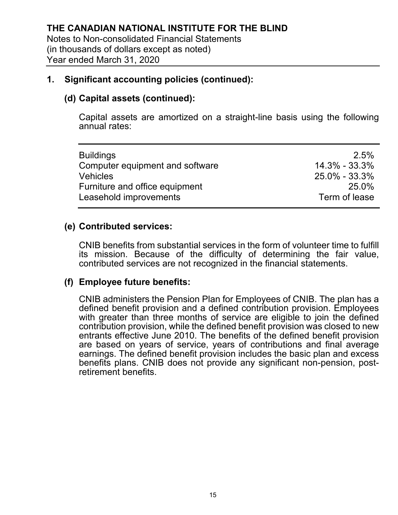## **(d) Capital assets (continued):**

Capital assets are amortized on a straight-line basis using the following annual rates:

#### **(e) Contributed services:**

CNIB benefits from substantial services in the form of volunteer time to fulfill its mission. Because of the difficulty of determining the fair value, contributed services are not recognized in the financial statements.

#### **(f) Employee future benefits:**

CNIB administers the Pension Plan for Employees of CNIB. The plan has a defined benefit provision and a defined contribution provision. Employees with greater than three months of service are eligible to join the defined contribution provision, while the defined benefit provision was closed to new entrants effective June 2010. The benefits of the defined benefit provision are based on years of service, years of contributions and final average earnings. The defined benefit provision includes the basic plan and excess benefits plans. CNIB does not provide any significant non-pension, postretirement benefits.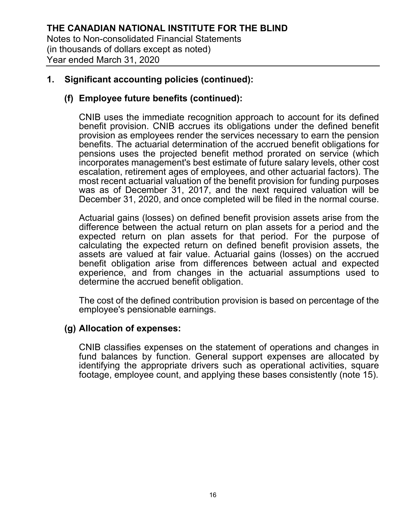## **(f) Employee future benefits (continued):**

CNIB uses the immediate recognition approach to account for its defined benefit provision. CNIB accrues its obligations under the defined benefit provision as employees render the services necessary to earn the pension benefits. The actuarial determination of the accrued benefit obligations for pensions uses the projected benefit method prorated on service (which incorporates management's best estimate of future salary levels, other cost escalation, retirement ages of employees, and other actuarial factors). The most recent actuarial valuation of the benefit provision for funding purposes was as of December 31, 2017, and the next required valuation will be December 31, 2020, and once completed will be filed in the normal course.

Actuarial gains (losses) on defined benefit provision assets arise from the difference between the actual return on plan assets for a period and the expected return on plan assets for that period. For the purpose of calculating the expected return on defined benefit provision assets, the assets are valued at fair value. Actuarial gains (losses) on the accrued benefit obligation arise from differences between actual and expected experience, and from changes in the actuarial assumptions used to determine the accrued benefit obligation.

The cost of the defined contribution provision is based on percentage of the employee's pensionable earnings.

#### **(g) Allocation of expenses:**

CNIB classifies expenses on the statement of operations and changes in fund balances by function. General support expenses are allocated by identifying the appropriate drivers such as operational activities, square footage, employee count, and applying these bases consistently (note 15).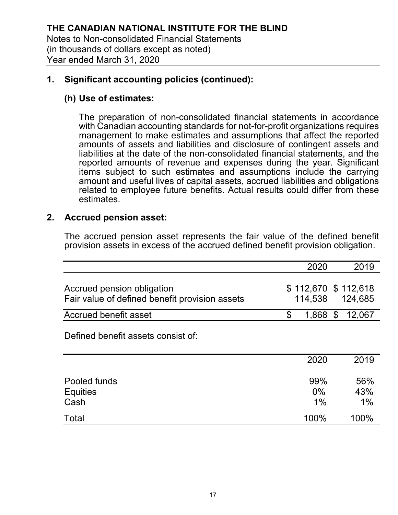## **(h) Use of estimates:**

The preparation of non-consolidated financial statements in accordance with Canadian accounting standards for not-for-profit organizations requires management to make estimates and assumptions that affect the reported amounts of assets and liabilities and disclosure of contingent assets and liabilities at the date of the non-consolidated financial statements, and the reported amounts of revenue and expenses during the year. Significant items subject to such estimates and assumptions include the carrying amount and useful lives of capital assets, accrued liabilities and obligations related to employee future benefits. Actual results could differ from these estimates.

## **2. Accrued pension asset:**

The accrued pension asset represents the fair value of the defined benefit provision assets in excess of the accrued defined benefit provision obligation.

|                                                                              | 2020 | 2019                                   |
|------------------------------------------------------------------------------|------|----------------------------------------|
| Accrued pension obligation<br>Fair value of defined benefit provision assets |      | \$112,670 \$112,618<br>114.538 124.685 |
| Accrued benefit asset                                                        |      | 1.868 \$ 12.067                        |

Defined benefit assets consist of:

|                 | 2020 | 2019 |
|-----------------|------|------|
| Pooled funds    | 99%  | 56%  |
| <b>Equities</b> | 0%   | 43%  |
| Cash            | 1%   | 1%   |
| Total           | 100% | 100% |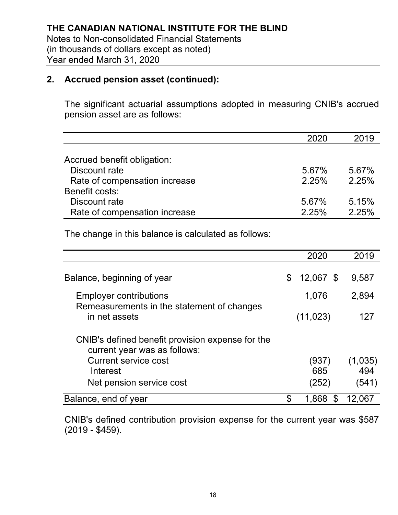#### **2. Accrued pension asset (continued):**

The significant actuarial assumptions adopted in measuring CNIB's accrued pension asset are as follows:

|                               | 2020  | 2019  |
|-------------------------------|-------|-------|
|                               |       |       |
| Accrued benefit obligation:   |       |       |
| Discount rate                 | 5.67% | 5.67% |
| Rate of compensation increase | 2.25% | 2.25% |
| Benefit costs:                |       |       |
| Discount rate                 | 5.67% | 5.15% |
| Rate of compensation increase | 2.25% | 225%  |

The change in this balance is calculated as follows:

|                                                                                  | 2020            | 2019    |
|----------------------------------------------------------------------------------|-----------------|---------|
| Balance, beginning of year                                                       | \$<br>12,067 \$ | 9,587   |
| <b>Employer contributions</b><br>Remeasurements in the statement of changes      | 1,076           | 2,894   |
| in net assets                                                                    | (11, 023)       | 127     |
| CNIB's defined benefit provision expense for the<br>current year was as follows: |                 |         |
| <b>Current service cost</b>                                                      | (937)           | (1,035) |
| Interest                                                                         | 685             | 494     |
| Net pension service cost                                                         | (252)           | (541)   |
| Balance, end of year                                                             | 1,868<br>\$     | 12,067  |

CNIB's defined contribution provision expense for the current year was \$587 (2019 - \$459).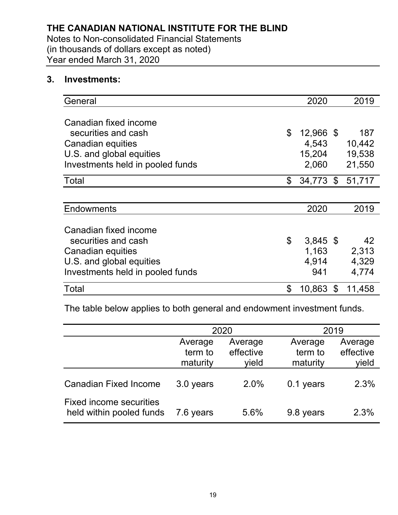Notes to Non-consolidated Financial Statements (in thousands of dollars except as noted) Year ended March 31, 2020

#### **3. Investments:**

| General                          | 2020             | 2019   |
|----------------------------------|------------------|--------|
|                                  |                  |        |
| Canadian fixed income            |                  |        |
| securities and cash              | \$<br>12,966 \$  | 187    |
| Canadian equities                | 4,543            | 10,442 |
| U.S. and global equities         | 15,204           | 19,538 |
| Investments held in pooled funds | 2,060            | 21,550 |
| Total                            | \$<br>34,773 \$  | 51,717 |
|                                  |                  |        |
| <b>Endowments</b>                | 2020             | 2019   |
|                                  |                  |        |
| Canadian fixed income            |                  |        |
| securities and cash              | \$<br>$3,845$ \$ | 42     |
| Canadian equities                | 1,163            | 2,313  |
| U.S. and global equities         | 4,914            | 4,329  |
| Investments held in pooled funds | 941              | 4,774  |
| Total                            | \$<br>10,863 \$  | 11,458 |

The table below applies to both general and endowment investment funds.

|                                                            |                                | 2020                          |                                | 2019                          |
|------------------------------------------------------------|--------------------------------|-------------------------------|--------------------------------|-------------------------------|
|                                                            | Average<br>term to<br>maturity | Average<br>effective<br>vield | Average<br>term to<br>maturity | Average<br>effective<br>yield |
| <b>Canadian Fixed Income</b>                               | 3.0 years                      | 2.0%                          | 0.1 years                      | 2.3%                          |
| <b>Fixed income securities</b><br>held within pooled funds | 7.6 years                      | 5.6%                          | 9.8 years                      | 2.3%                          |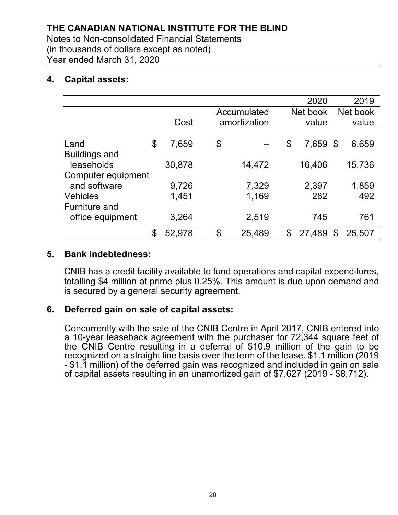Notes to Non-consolidated Financial Statements (in thousands of dollars except as noted) Year ended March 31, 2020

#### **4. Capital assets:**

|                      |              |              | 2020           | 2019         |
|----------------------|--------------|--------------|----------------|--------------|
|                      |              | Accumulated  | Net book       | Net book     |
|                      | Cost         | amortization | value          | value        |
|                      |              |              |                |              |
| Land                 | \$<br>7,659  | \$           | \$<br>7,659 \$ | 6,659        |
| <b>Buildings and</b> |              |              |                |              |
| leaseholds           | 30,878       | 14,472       | 16,406         | 15,736       |
| Computer equipment   |              |              |                |              |
| and software         | 9,726        | 7,329        | 2,397          | 1,859        |
| <b>Vehicles</b>      | 1,451        | 1,169        | 282            | 492          |
| <b>Furniture and</b> |              |              |                |              |
| office equipment     | 3,264        | 2,519        | 745            | 761          |
|                      | \$<br>52,978 | \$<br>25,489 | \$<br>27,489   | \$<br>25,507 |

#### **5. Bank indebtedness:**

CNIB has a credit facility available to fund operations and capital expenditures, totalling \$4 million at prime plus 0.25%. This amount is due upon demand and is secured by a general security agreement.

#### **6. Deferred gain on sale of capital assets:**

Concurrently with the sale of the CNIB Centre in April 2017, CNIB entered into a 10-year leaseback agreement with the purchaser for 72,344 square feet of the CNIB Centre resulting in a deferral of \$10.9 million of the gain to be recognized on a straight line basis over the term of the lease. \$1.1 million (2019 - \$1.1 million) of the deferred gain was recognized and included in gain on sale of capital assets resulting in an unamortized gain of \$7,627 (2019 - \$8,712).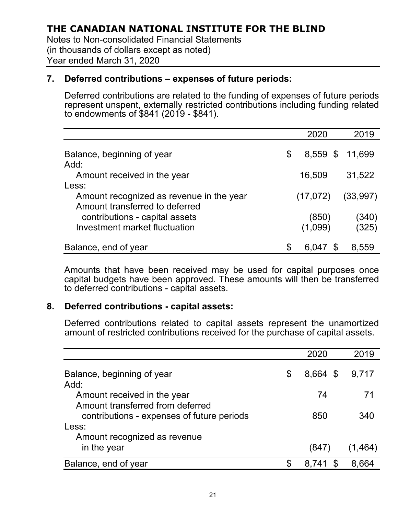Notes to Non-consolidated Financial Statements (in thousands of dollars except as noted) Year ended March 31, 2020

#### **7. Deferred contributions – expenses of future periods:**

Deferred contributions are related to the funding of expenses of future periods represent unspent, externally restricted contributions including funding related to endowments of \$841 (2019 - \$841).

|                                                                            | 2020             | 2019     |
|----------------------------------------------------------------------------|------------------|----------|
| Balance, beginning of year<br>Add:                                         | \$<br>$8,559$ \$ | 11,699   |
| Amount received in the year                                                | 16,509           | 31,522   |
| Less:                                                                      |                  |          |
| Amount recognized as revenue in the year<br>Amount transferred to deferred | (17, 072)        | (33,997) |
| contributions - capital assets                                             | (850)            | (340)    |
| Investment market fluctuation                                              | (1,099)          | (325)    |
| Balance, end of year                                                       | S<br>6.0         | 8.559    |

Amounts that have been received may be used for capital purposes once capital budgets have been approved. These amounts will then be transferred to deferred contributions - capital assets.

#### **8. Deferred contributions - capital assets:**

Deferred contributions related to capital assets represent the unamortized amount of restricted contributions received for the purchase of capital assets.

|                                                                                         | 2020           | 2019    |
|-----------------------------------------------------------------------------------------|----------------|---------|
| Balance, beginning of year<br>Add:                                                      | \$<br>8,664 \$ | 9,717   |
| Amount received in the year                                                             | 74             | 71      |
| Amount transferred from deferred<br>contributions - expenses of future periods<br>Less: | 850            | 340     |
| Amount recognized as revenue                                                            |                |         |
| in the year                                                                             | (847)          | (1,464) |
| Balance, end of year                                                                    | S<br>8.741     | 8.664   |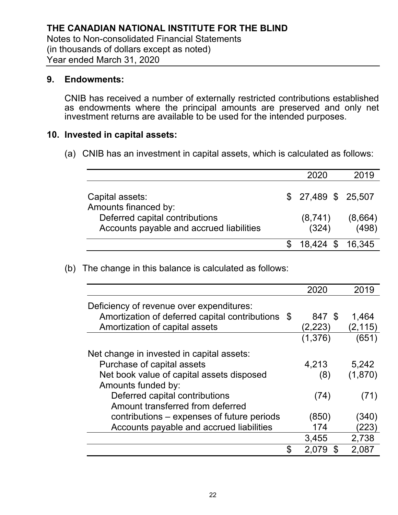#### **9. Endowments:**

CNIB has received a number of externally restricted contributions established as endowments where the principal amounts are preserved and only net investment returns are available to be used for the intended purposes.

#### **10. Invested in capital assets:**

(a) CNIB has an investment in capital assets, which is calculated as follows:

|                                                                            | 2020                | 2019             |
|----------------------------------------------------------------------------|---------------------|------------------|
| Capital assets:<br>Amounts financed by:                                    | $$27,489$ \$ 25,507 |                  |
| Deferred capital contributions<br>Accounts payable and accrued liabilities | (8,741)<br>(324)    | (8,664)<br>(498) |
|                                                                            | 18.424 \$           | - 16.345         |

(b) The change in this balance is calculated as follows:

|                                                |      | 2020        | 2019     |
|------------------------------------------------|------|-------------|----------|
| Deficiency of revenue over expenditures:       |      |             |          |
| Amortization of deferred capital contributions | - \$ | 847 \$      | 1,464    |
| Amortization of capital assets                 |      | (2,223)     | (2, 115) |
|                                                |      | (1, 376)    | (651)    |
| Net change in invested in capital assets:      |      |             |          |
| Purchase of capital assets                     |      | 4,213       | 5,242    |
| Net book value of capital assets disposed      |      | (8)         | (1,870)  |
| Amounts funded by:                             |      |             |          |
| Deferred capital contributions                 |      | (74)        | (71)     |
| Amount transferred from deferred               |      |             |          |
| contributions – expenses of future periods     |      | (850)       | (340)    |
| Accounts payable and accrued liabilities       |      | 174         | (223)    |
|                                                |      | 3,455       | 2,738    |
|                                                | \$   | \$<br>2,079 | 2,087    |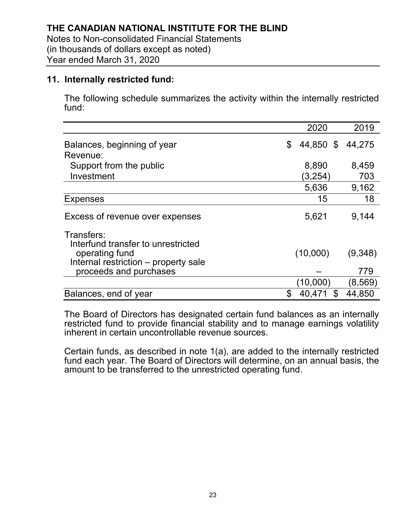#### **11. Internally restricted fund:**

The following schedule summarizes the activity within the internally restricted fund:

|                                                                                                                                      | 2020               | 2019           |
|--------------------------------------------------------------------------------------------------------------------------------------|--------------------|----------------|
| Balances, beginning of year                                                                                                          | 44,850 \$<br>\$    | 44,275         |
| Revenue:                                                                                                                             |                    |                |
| Support from the public                                                                                                              | 8,890              | 8,459          |
| Investment                                                                                                                           | (3,254)            | 703            |
|                                                                                                                                      | 5,636              | 9,162          |
| <b>Expenses</b>                                                                                                                      | 15                 | 18             |
| Excess of revenue over expenses                                                                                                      | 5,621              | 9,144          |
| Transfers:<br>Interfund transfer to unrestricted<br>operating fund<br>Internal restriction - property sale<br>proceeds and purchases | (10,000)           | (9,348)<br>779 |
|                                                                                                                                      | (10,000)           | (8,569)        |
| Balances, end of year                                                                                                                | \$<br>40,471<br>\$ | 44,850         |

The Board of Directors has designated certain fund balances as an internally restricted fund to provide financial stability and to manage earnings volatility inherent in certain uncontrollable revenue sources.

Certain funds, as described in note 1(a), are added to the internally restricted fund each year. The Board of Directors will determine, on an annual basis, the amount to be transferred to the unrestricted operating fund.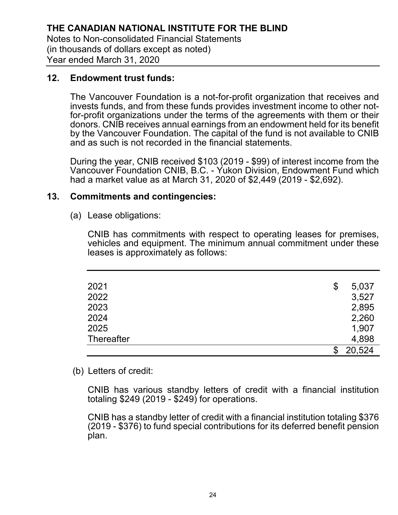#### **12. Endowment trust funds:**

The Vancouver Foundation is a not-for-profit organization that receives and invests funds, and from these funds provides investment income to other notfor-profit organizations under the terms of the agreements with them or their donors. CNIB receives annual earnings from an endowment held for its benefit by the Vancouver Foundation. The capital of the fund is not available to CNIB and as such is not recorded in the financial statements.

During the year, CNIB received \$103 (2019 - \$99) of interest income from the Vancouver Foundation CNIB, B.C. - Yukon Division, Endowment Fund which had a market value as at March 31, 2020 of \$2,449 (2019 - \$2,692).

#### **13. Commitments and contingencies:**

(a) Lease obligations:

CNIB has commitments with respect to operating leases for premises, vehicles and equipment. The minimum annual commitment under these leases is approximately as follows:

| 2021              | \$<br>5,037 |
|-------------------|-------------|
| 2022              | 3,527       |
| 2023              | 2,895       |
| 2024              | 2,260       |
| 2025              | 1,907       |
| <b>Thereafter</b> | 4,898       |
|                   | 20,524      |

#### (b) Letters of credit:

CNIB has various standby letters of credit with a financial institution totaling \$249 (2019 - \$249) for operations.

CNIB has a standby letter of credit with a financial institution totaling \$376 (2019 - \$376) to fund special contributions for its deferred benefit pension plan.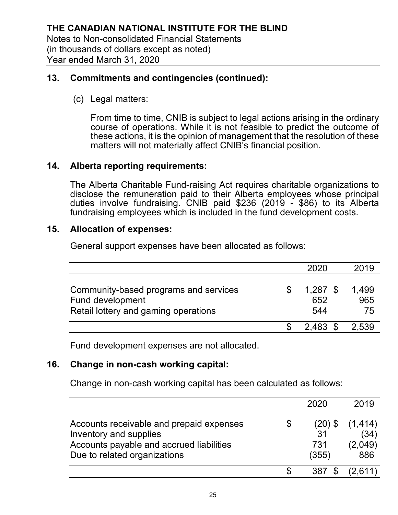#### **13. Commitments and contingencies (continued):**

(c) Legal matters:

From time to time, CNIB is subject to legal actions arising in the ordinary course of operations. While it is not feasible to predict the outcome of these actions, it is the opinion of management that the resolution of these matters will not materially affect CNIB's financial position.

#### **14. Alberta reporting requirements:**

The Alberta Charitable Fund-raising Act requires charitable organizations to disclose the remuneration paid to their Alberta employees whose principal duties involve fundraising. CNIB paid \$236 (2019 - \$86) to its Alberta fundraising employees which is included in the fund development costs.

#### **15. Allocation of expenses:**

General support expenses have been allocated as follows:

|                                                                                                   | 2020                     | 2019               |
|---------------------------------------------------------------------------------------------------|--------------------------|--------------------|
| Community-based programs and services<br>Fund development<br>Retail lottery and gaming operations | $1,287$ \$<br>652<br>544 | 1.499<br>965<br>75 |
|                                                                                                   | $2.483$ \$               | 2.539              |

Fund development expenses are not allocated.

#### **16. Change in non-cash working capital:**

Change in non-cash working capital has been calculated as follows:

|                                                                                                                                                | 2020                                | 2019                               |
|------------------------------------------------------------------------------------------------------------------------------------------------|-------------------------------------|------------------------------------|
| Accounts receivable and prepaid expenses<br>Inventory and supplies<br>Accounts payable and accrued liabilities<br>Due to related organizations | \$<br>(20) \$<br>31<br>731<br>(355) | (1, 414)<br>(34)<br>(2,049)<br>886 |
|                                                                                                                                                | 387                                 | (2.611)                            |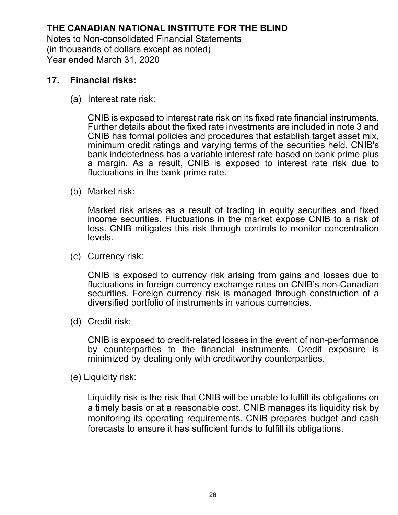#### **17. Financial risks:**

(a) Interest rate risk:

CNIB is exposed to interest rate risk on its fixed rate financial instruments. Further details about the fixed rate investments are included in note 3 and CNIB has formal policies and procedures that establish target asset mix, minimum credit ratings and varying terms of the securities held. CNIB's bank indebtedness has a variable interest rate based on bank prime plus a margin. As a result, CNIB is exposed to interest rate risk due to fluctuations in the bank prime rate.

(b) Market risk:

Market risk arises as a result of trading in equity securities and fixed income securities. Fluctuations in the market expose CNIB to a risk of loss. CNIB mitigates this risk through controls to monitor concentration levels.

(c) Currency risk:

CNIB is exposed to currency risk arising from gains and losses due to fluctuations in foreign currency exchange rates on CNIB's non-Canadian securities. Foreign currency risk is managed through construction of a diversified portfolio of instruments in various currencies.

(d) Credit risk:

CNIB is exposed to credit-related losses in the event of non-performance by counterparties to the financial instruments. Credit exposure is minimized by dealing only with creditworthy counterparties.

(e) Liquidity risk:

Liquidity risk is the risk that CNIB will be unable to fulfill its obligations on a timely basis or at a reasonable cost. CNIB manages its liquidity risk by monitoring its operating requirements. CNIB prepares budget and cash forecasts to ensure it has sufficient funds to fulfill its obligations.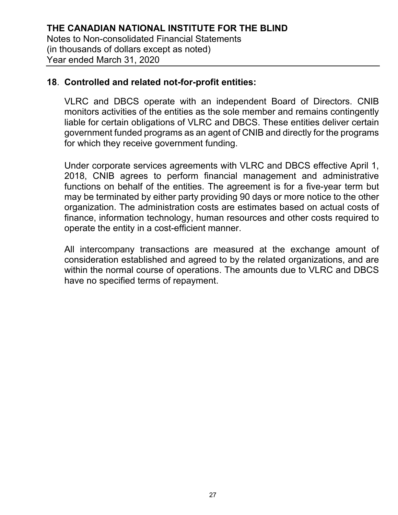#### **18**. **Controlled and related not-for-profit entities:**

VLRC and DBCS operate with an independent Board of Directors. CNIB monitors activities of the entities as the sole member and remains contingently liable for certain obligations of VLRC and DBCS. These entities deliver certain government funded programs as an agent of CNIB and directly for the programs for which they receive government funding.

Under corporate services agreements with VLRC and DBCS effective April 1, 2018, CNIB agrees to perform financial management and administrative functions on behalf of the entities. The agreement is for a five-year term but may be terminated by either party providing 90 days or more notice to the other organization. The administration costs are estimates based on actual costs of finance, information technology, human resources and other costs required to operate the entity in a cost-efficient manner.

All intercompany transactions are measured at the exchange amount of consideration established and agreed to by the related organizations, and are within the normal course of operations. The amounts due to VLRC and DBCS have no specified terms of repayment.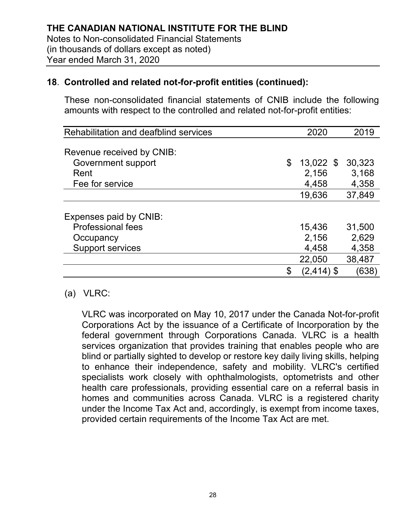These non-consolidated financial statements of CNIB include the following amounts with respect to the controlled and related not-for-profit entities:

| Rehabilitation and deafblind services | 2020        | 2019   |
|---------------------------------------|-------------|--------|
|                                       |             |        |
| Revenue received by CNIB:             |             |        |
| Government support<br>\$              | $13,022$ \$ | 30,323 |
| Rent                                  | 2,156       | 3,168  |
| Fee for service                       | 4,458       | 4,358  |
|                                       | 19,636      | 37,849 |
|                                       |             |        |
| Expenses paid by CNIB:                |             |        |
| <b>Professional fees</b>              | 15,436      | 31,500 |
| Occupancy                             | 2,156       | 2,629  |
| <b>Support services</b>               | 4,458       | 4,358  |
|                                       | 22,050      | 38,487 |
| \$                                    | (2,414) \$  | (638)  |

#### (a) VLRC:

VLRC was incorporated on May 10, 2017 under the Canada Not-for-profit Corporations Act by the issuance of a Certificate of Incorporation by the federal government through Corporations Canada. VLRC is a health services organization that provides training that enables people who are blind or partially sighted to develop or restore key daily living skills, helping to enhance their independence, safety and mobility. VLRC's certified specialists work closely with ophthalmologists, optometrists and other health care professionals, providing essential care on a referral basis in homes and communities across Canada. VLRC is a registered charity under the Income Tax Act and, accordingly, is exempt from income taxes, provided certain requirements of the Income Tax Act are met.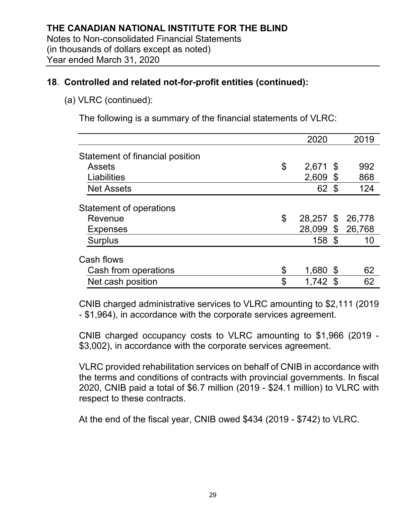## (a) VLRC (continued):

The following is a summary of the financial statements of VLRC:

|                                 | 2020             |      | 2019   |
|---------------------------------|------------------|------|--------|
| Statement of financial position |                  |      |        |
| <b>Assets</b>                   | \$<br>$2,671$ \$ |      | 992    |
| Liabilities                     | 2,609            | - \$ | 868    |
| <b>Net Assets</b>               | 62 \$            |      | 124    |
| <b>Statement of operations</b>  |                  |      |        |
| Revenue                         | \$<br>28,257 \$  |      | 26,778 |
| <b>Expenses</b>                 | 28,099 \$        |      | 26,768 |
| <b>Surplus</b>                  | 158 \$           |      | 10     |
| Cash flows                      |                  |      |        |
| Cash from operations            | \$<br>1,680      | - \$ | 62     |
| Net cash position               | \$<br>$1,742$ \$ |      | 62     |

CNIB charged administrative services to VLRC amounting to \$2,111 (2019 - \$1,964), in accordance with the corporate services agreement.

CNIB charged occupancy costs to VLRC amounting to \$1,966 (2019 - \$3,002), in accordance with the corporate services agreement.

VLRC provided rehabilitation services on behalf of CNIB in accordance with the terms and conditions of contracts with provincial governments. In fiscal 2020, CNIB paid a total of \$6.7 million (2019 - \$24.1 million) to VLRC with respect to these contracts.

At the end of the fiscal year, CNIB owed \$434 (2019 - \$742) to VLRC.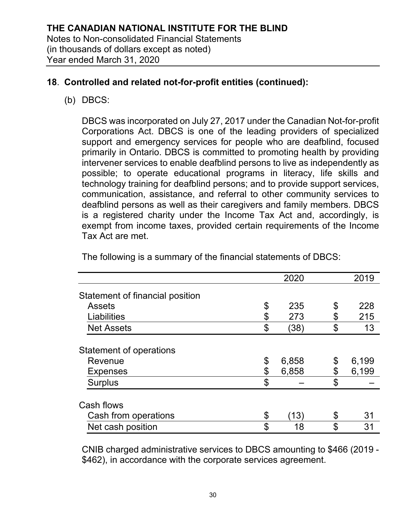(b) DBCS:

DBCS was incorporated on July 27, 2017 under the Canadian Not-for-profit Corporations Act. DBCS is one of the leading providers of specialized support and emergency services for people who are deafblind, focused primarily in Ontario. DBCS is committed to promoting health by providing intervener services to enable deafblind persons to live as independently as possible; to operate educational programs in literacy, life skills and technology training for deafblind persons; and to provide support services, communication, assistance, and referral to other community services to deafblind persons as well as their caregivers and family members. DBCS is a registered charity under the Income Tax Act and, accordingly, is exempt from income taxes, provided certain requirements of the Income Tax Act are met.

|                                 | 2020        | 2019        |
|---------------------------------|-------------|-------------|
| Statement of financial position |             |             |
| <b>Assets</b>                   | \$<br>235   | \$<br>228   |
| Liabilities                     | \$<br>273   | \$<br>215   |
| <b>Net Assets</b>               | \$<br>(38)  | \$<br>13    |
| <b>Statement of operations</b>  |             |             |
| Revenue                         | \$<br>6,858 | \$<br>6,199 |
| <b>Expenses</b>                 | \$<br>6,858 | \$<br>6,199 |
| <b>Surplus</b>                  | \$          | \$          |
| Cash flows                      |             |             |
| Cash from operations            | \$<br>13)   | \$<br>31    |
| Net cash position               | \$<br>18    | \$<br>31    |

The following is a summary of the financial statements of DBCS:

CNIB charged administrative services to DBCS amounting to \$466 (2019 - \$462), in accordance with the corporate services agreement.